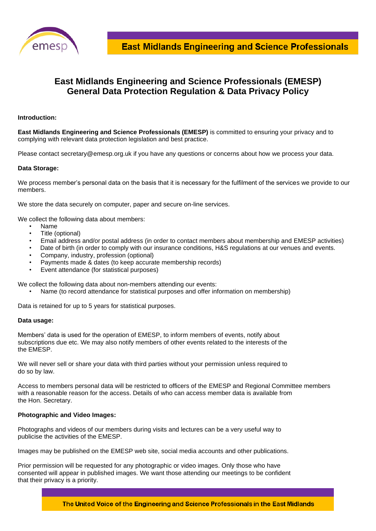

# **East Midlands Engineering and Science Professionals (EMESP) General Data Protection Regulation & Data Privacy Policy**

### **Introduction:**

**East Midlands Engineering and Science Professionals (EMESP)** is committed to ensuring your privacy and to complying with relevant data protection legislation and best practice.

Please contact secretary@emesp.org.uk if you have any questions or concerns about how we process your data.

#### **Data Storage:**

We process member's personal data on the basis that it is necessary for the fulfilment of the services we provide to our members.

We store the data securely on computer, paper and secure on-line services.

We collect the following data about members:

- Name
- Title (optional)
- Email address and/or postal address (in order to contact members about membership and EMESP activities)
- Date of birth (in order to comply with our insurance conditions, H&S regulations at our venues and events.
- Company, industry, profession (optional)
- Payments made & dates (to keep accurate membership records)
- Event attendance (for statistical purposes)

We collect the following data about non-members attending our events:

• Name (to record attendance for statistical purposes and offer information on membership)

Data is retained for up to 5 years for statistical purposes.

#### **Data usage:**

Members' data is used for the operation of EMESP, to inform members of events, notify about subscriptions due etc. We may also notify members of other events related to the interests of the the EMESP.

We will never sell or share your data with third parties without your permission unless required to do so by law.

Access to members personal data will be restricted to officers of the EMESP and Regional Committee members with a reasonable reason for the access. Details of who can access member data is available from the Hon. Secretary.

## **Photographic and Video Images:**

Photographs and videos of our members during visits and lectures can be a very useful way to publicise the activities of the EMESP.

Images may be published on the EMESP web site, social media accounts and other publications.

Prior permission will be requested for any photographic or video images. Only those who have consented will appear in published images. We want those attending our meetings to be confident that their privacy is a priority.

The United Voice of the Engineering and Science Professionals in the East Midlands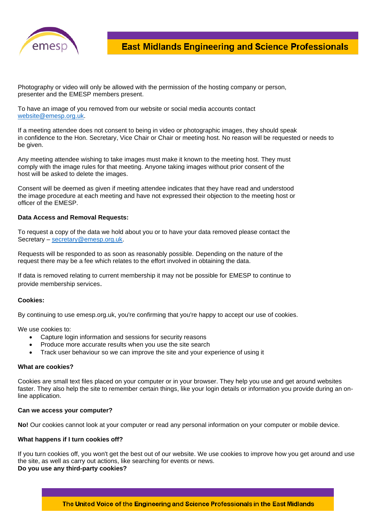

Photography or video will only be allowed with the permission of the hosting company or person, presenter and the EMESP members present.

To have an image of you removed from our website or social media accounts contact [website@emesp.org.uk.](mailto:website@emesp.org.uk)

If a meeting attendee does not consent to being in video or photographic images, they should speak in confidence to the Hon. Secretary, Vice Chair or Chair or meeting host. No reason will be requested or needs to be given.

Any meeting attendee wishing to take images must make it known to the meeting host. They must comply with the image rules for that meeting. Anyone taking images without prior consent of the host will be asked to delete the images.

Consent will be deemed as given if meeting attendee indicates that they have read and understood the image procedure at each meeting and have not expressed their objection to the meeting host or officer of the EMESP.

## **Data Access and Removal Requests:**

To request a copy of the data we hold about you or to have your data removed please contact the Secretary – [secretary@emesp.org.uk.](mailto:secretary@emesp.org.uk)

Requests will be responded to as soon as reasonably possible. Depending on the nature of the request there may be a fee which relates to the effort involved in obtaining the data.

If data is removed relating to current membership it may not be possible for EMESP to continue to provide membership services.

#### **Cookies:**

By continuing to use emesp.org.uk, you're confirming that you're happy to accept our use of cookies.

We use cookies to:

- Capture login information and sessions for security reasons
- Produce more accurate results when you use the site search
- Track user behaviour so we can improve the site and your experience of using it

#### **What are cookies?**

Cookies are small text files placed on your computer or in your browser. They help you use and get around websites faster. They also help the site to remember certain things, like your login details or information you provide during an online application.

#### **Can we access your computer?**

**No!** Our cookies cannot look at your computer or read any personal information on your computer or mobile device.

#### **What happens if I turn cookies off?**

If you turn cookies off, you won't get the best out of our website. We use cookies to improve how you get around and use the site, as well as carry out actions, like searching for events or news. **Do you use any third-party cookies?**

The United Voice of the Engineering and Science Professionals in the East Midlands